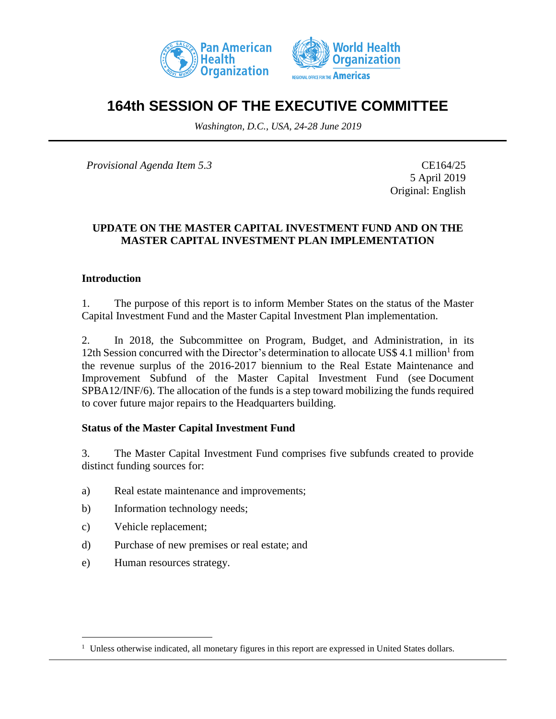



# **164th SESSION OF THE EXECUTIVE COMMITTEE**

*Washington, D.C., USA, 24-28 June 2019*

*Provisional Agenda Item 5.3* CE164/25

5 April 2019 Original: English

### **UPDATE ON THE MASTER CAPITAL INVESTMENT FUND AND ON THE MASTER CAPITAL INVESTMENT PLAN IMPLEMENTATION**

### **Introduction**

1. The purpose of this report is to inform Member States on the status of the Master Capital Investment Fund and the Master Capital Investment Plan implementation.

2. In 2018, the Subcommittee on Program, Budget, and Administration, in its 12th Session concurred with the Director's determination to allocate US\$ 4.1 million<sup>1</sup> from the revenue surplus of the 2016-2017 biennium to the Real Estate Maintenance and Improvement Subfund of the Master Capital Investment Fund (see Document SPBA12/INF/6). The allocation of the funds is a step toward mobilizing the funds required to cover future major repairs to the Headquarters building.

### **Status of the Master Capital Investment Fund**

3. The Master Capital Investment Fund comprises five subfunds created to provide distinct funding sources for:

- a) Real estate maintenance and improvements;
- b) Information technology needs;
- c) Vehicle replacement;

- d) Purchase of new premises or real estate; and
- e) Human resources strategy.

<sup>&</sup>lt;sup>1</sup> Unless otherwise indicated, all monetary figures in this report are expressed in United States dollars.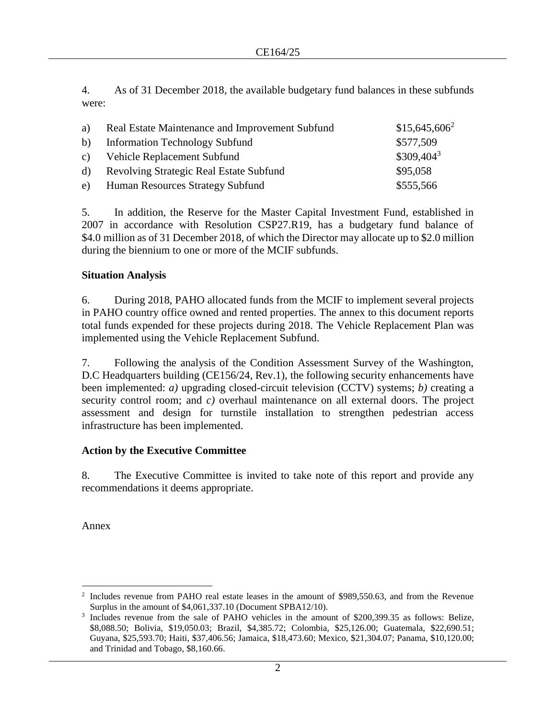4. As of 31 December 2018, the available budgetary fund balances in these subfunds were:

| a)           | Real Estate Maintenance and Improvement Subfund | $$15,645,606^2$ |
|--------------|-------------------------------------------------|-----------------|
| b)           | <b>Information Technology Subfund</b>           | \$577,509       |
|              | c) Vehicle Replacement Subfund                  | $$309,404^3$    |
| $\mathbf{d}$ | Revolving Strategic Real Estate Subfund         | \$95,058        |
|              | e) Human Resources Strategy Subfund             | \$555,566       |

5. In addition, the Reserve for the Master Capital Investment Fund, established in 2007 in accordance with Resolution CSP27.R19, has a budgetary fund balance of \$4.0 million as of 31 December 2018, of which the Director may allocate up to \$2.0 million during the biennium to one or more of the MCIF subfunds.

### **Situation Analysis**

6. During 2018, PAHO allocated funds from the MCIF to implement several projects in PAHO country office owned and rented properties. The annex to this document reports total funds expended for these projects during 2018. The Vehicle Replacement Plan was implemented using the Vehicle Replacement Subfund.

7. Following the analysis of the Condition Assessment Survey of the Washington, D.C Headquarters building (CE156/24, Rev.1), the following security enhancements have been implemented: *a)* upgrading closed-circuit television (CCTV) systems; *b)* creating a security control room; and *c*) overhaul maintenance on all external doors. The project assessment and design for turnstile installation to strengthen pedestrian access infrastructure has been implemented.

### **Action by the Executive Committee**

8. The Executive Committee is invited to take note of this report and provide any recommendations it deems appropriate.

Annex

<sup>2</sup> Includes revenue from PAHO real estate leases in the amount of \$989,550.63, and from the Revenue Surplus in the amount of \$4,061,337.10 (Document SPBA12/10).

<sup>3</sup> Includes revenue from the sale of PAHO vehicles in the amount of \$200,399.35 as follows: Belize, \$8,088.50; Bolivia, \$19,050.03; Brazil, \$4,385.72; Colombia, \$25,126.00; Guatemala, \$22,690.51; Guyana, \$25,593.70; Haiti, \$37,406.56; Jamaica, \$18,473.60; Mexico, \$21,304.07; Panama, \$10,120.00; and Trinidad and Tobago, \$8,160.66.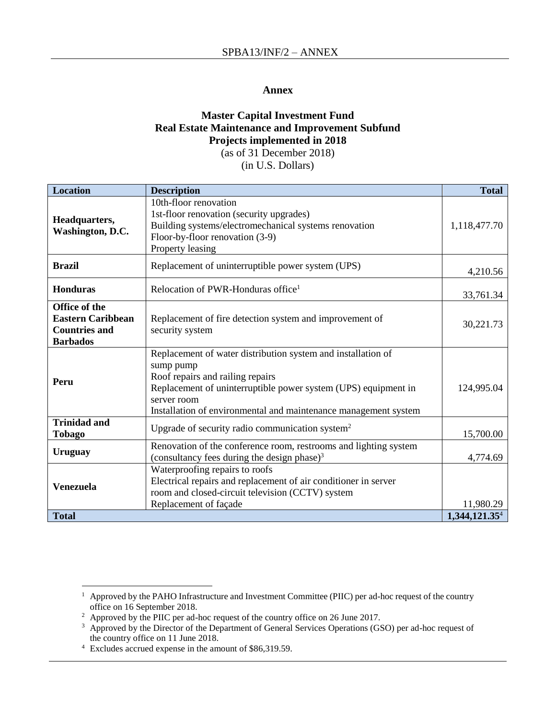#### **Annex**

### **Master Capital Investment Fund Real Estate Maintenance and Improvement Subfund Projects implemented in 2018**

(as of 31 December 2018)

(in U.S. Dollars)

| <b>Location</b>                                                                      | <b>Description</b>                                                                                                                                                                                                                                                | <b>Total</b>              |
|--------------------------------------------------------------------------------------|-------------------------------------------------------------------------------------------------------------------------------------------------------------------------------------------------------------------------------------------------------------------|---------------------------|
| Headquarters,<br>Washington, D.C.                                                    | 10th-floor renovation<br>1st-floor renovation (security upgrades)<br>Building systems/electromechanical systems renovation<br>Floor-by-floor renovation (3-9)<br>Property leasing                                                                                 | 1,118,477.70              |
| <b>Brazil</b>                                                                        | Replacement of uninterruptible power system (UPS)                                                                                                                                                                                                                 | 4,210.56                  |
| <b>Honduras</b>                                                                      | Relocation of PWR-Honduras office <sup>1</sup>                                                                                                                                                                                                                    | 33,761.34                 |
| Office of the<br><b>Eastern Caribbean</b><br><b>Countries and</b><br><b>Barbados</b> | Replacement of fire detection system and improvement of<br>security system                                                                                                                                                                                        | 30,221.73                 |
| Peru                                                                                 | Replacement of water distribution system and installation of<br>sump pump<br>Roof repairs and railing repairs<br>Replacement of uninterruptible power system (UPS) equipment in<br>server room<br>Installation of environmental and maintenance management system | 124,995.04                |
| <b>Trinidad and</b><br><b>Tobago</b>                                                 | Upgrade of security radio communication system <sup>2</sup>                                                                                                                                                                                                       | 15,700.00                 |
| <b>Uruguay</b>                                                                       | Renovation of the conference room, restrooms and lighting system<br>(consultancy fees during the design phase) $3$                                                                                                                                                | 4,774.69                  |
| Venezuela                                                                            | Waterproofing repairs to roofs<br>Electrical repairs and replacement of air conditioner in server<br>room and closed-circuit television (CCTV) system<br>Replacement of façade                                                                                    | 11,980.29                 |
| <b>Total</b>                                                                         |                                                                                                                                                                                                                                                                   | 1,344,121.35 <sup>4</sup> |

<sup>&</sup>lt;sup>1</sup> Approved by the PAHO Infrastructure and Investment Committee (PIIC) per ad-hoc request of the country office on 16 September 2018.

<sup>&</sup>lt;sup>2</sup> Approved by the PIIC per ad-hoc request of the country office on 26 June 2017.

<sup>&</sup>lt;sup>3</sup> Approved by the Director of the Department of General Services Operations (GSO) per ad-hoc request of the country office on 11 June 2018.

<sup>4</sup> Excludes accrued expense in the amount of \$86,319.59.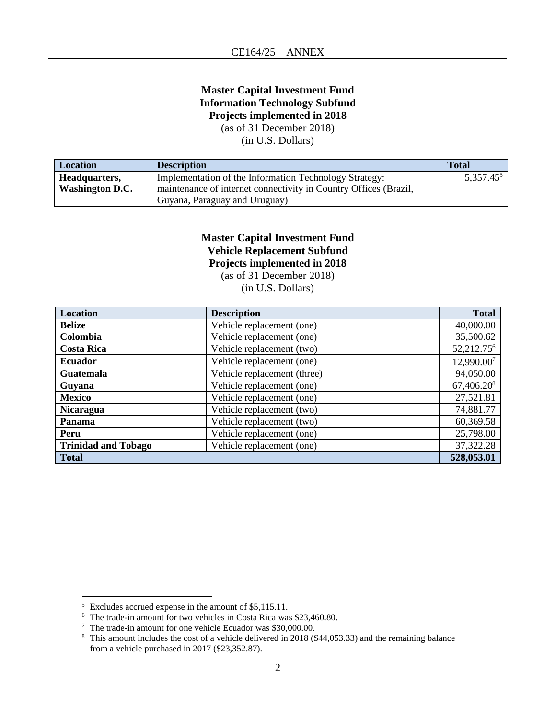# **Master Capital Investment Fund Information Technology Subfund Projects implemented in 2018**

(as of 31 December 2018)

(in U.S. Dollars)

| Location        | <b>Description</b>                                               | <b>Total</b> |
|-----------------|------------------------------------------------------------------|--------------|
| Headquarters,   | Implementation of the Information Technology Strategy:           | $5,357.45^5$ |
| Washington D.C. | maintenance of internet connectivity in Country Offices (Brazil, |              |
|                 | Guyana, Paraguay and Uruguay)                                    |              |

## **Master Capital Investment Fund Vehicle Replacement Subfund Projects implemented in 2018**

(as of 31 December 2018)

(in U.S. Dollars)

| Location                   | <b>Description</b>          | <b>Total</b>           |
|----------------------------|-----------------------------|------------------------|
| <b>Belize</b>              | Vehicle replacement (one)   | 40,000.00              |
| Colombia                   | Vehicle replacement (one)   | 35,500.62              |
| <b>Costa Rica</b>          | Vehicle replacement (two)   | 52,212.75 <sup>6</sup> |
| <b>Ecuador</b>             | Vehicle replacement (one)   | 12,990.007             |
| <b>Guatemala</b>           | Vehicle replacement (three) | 94,050.00              |
| Guyana                     | Vehicle replacement (one)   | 67,406.208             |
| <b>Mexico</b>              | Vehicle replacement (one)   | 27,521.81              |
| <b>Nicaragua</b>           | Vehicle replacement (two)   | 74,881.77              |
| Panama                     | Vehicle replacement (two)   | 60,369.58              |
| Peru                       | Vehicle replacement (one)   | 25,798.00              |
| <b>Trinidad and Tobago</b> | Vehicle replacement (one)   | 37,322.28              |
| <b>Total</b>               |                             | 528,053.01             |

<sup>&</sup>lt;sup>5</sup> Excludes accrued expense in the amount of \$5,115.11.

<sup>6</sup> The trade-in amount for two vehicles in Costa Rica was \$23,460.80.

<sup>7</sup> The trade-in amount for one vehicle Ecuador was \$30,000.00.

<sup>&</sup>lt;sup>8</sup> This amount includes the cost of a vehicle delivered in 2018 (\$44,053.33) and the remaining balance from a vehicle purchased in 2017 (\$23,352.87).